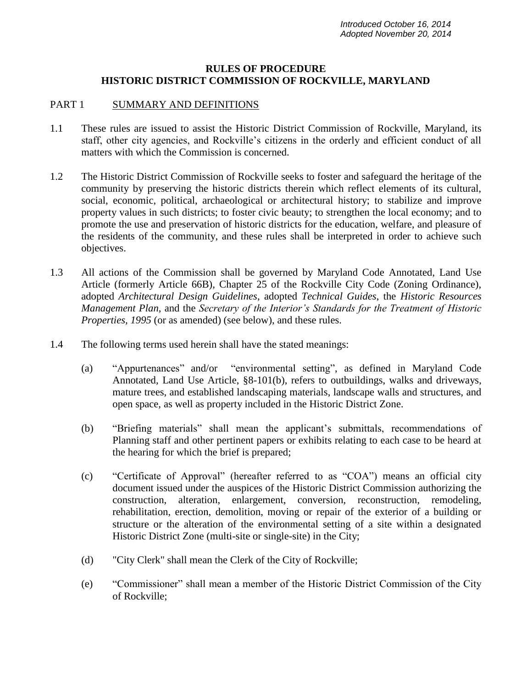#### **RULES OF PROCEDURE HISTORIC DISTRICT COMMISSION OF ROCKVILLE, MARYLAND**

#### PART 1 SUMMARY AND DEFINITIONS

- 1.1 These rules are issued to assist the Historic District Commission of Rockville, Maryland, its staff, other city agencies, and Rockville's citizens in the orderly and efficient conduct of all matters with which the Commission is concerned.
- 1.2 The Historic District Commission of Rockville seeks to foster and safeguard the heritage of the community by preserving the historic districts therein which reflect elements of its cultural, social, economic, political, archaeological or architectural history; to stabilize and improve property values in such districts; to foster civic beauty; to strengthen the local economy; and to promote the use and preservation of historic districts for the education, welfare, and pleasure of the residents of the community, and these rules shall be interpreted in order to achieve such objectives.
- 1.3 All actions of the Commission shall be governed by Maryland Code Annotated, Land Use Article (formerly Article 66B), Chapter 25 of the Rockville City Code (Zoning Ordinance), adopted *Architectural Design Guidelines*, adopted *Technical Guides*, the *Historic Resources Management Plan*, and the *Secretary of the Interior's Standards for the Treatment of Historic Properties, 1995* (or as amended) (see below), and these rules.
- 1.4 The following terms used herein shall have the stated meanings:
	- (a) "Appurtenances" and/or "environmental setting", as defined in Maryland Code Annotated, Land Use Article, §8-101(b), refers to outbuildings, walks and driveways, mature trees, and established landscaping materials, landscape walls and structures, and open space, as well as property included in the Historic District Zone.
	- (b) "Briefing materials" shall mean the applicant's submittals, recommendations of Planning staff and other pertinent papers or exhibits relating to each case to be heard at the hearing for which the brief is prepared;
	- (c) "Certificate of Approval" (hereafter referred to as "COA") means an official city document issued under the auspices of the Historic District Commission authorizing the construction, alteration, enlargement, conversion, reconstruction, remodeling, rehabilitation, erection, demolition, moving or repair of the exterior of a building or structure or the alteration of the environmental setting of a site within a designated Historic District Zone (multi-site or single-site) in the City;
	- (d) "City Clerk" shall mean the Clerk of the City of Rockville;
	- (e) "Commissioner" shall mean a member of the Historic District Commission of the City of Rockville;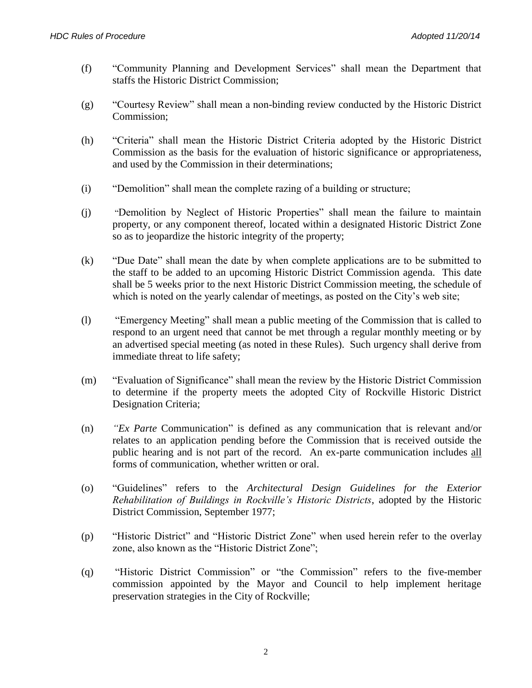- (f) "Community Planning and Development Services" shall mean the Department that staffs the Historic District Commission;
- (g) "Courtesy Review" shall mean a non-binding review conducted by the Historic District Commission;
- (h) "Criteria" shall mean the Historic District Criteria adopted by the Historic District Commission as the basis for the evaluation of historic significance or appropriateness, and used by the Commission in their determinations;
- (i) "Demolition" shall mean the complete razing of a building or structure;
- (j) "Demolition by Neglect of Historic Properties" shall mean the failure to maintain property, or any component thereof, located within a designated Historic District Zone so as to jeopardize the historic integrity of the property;
- (k) "Due Date" shall mean the date by when complete applications are to be submitted to the staff to be added to an upcoming Historic District Commission agenda. This date shall be 5 weeks prior to the next Historic District Commission meeting, the schedule of which is noted on the yearly calendar of meetings, as posted on the City's web site;
- (l) "Emergency Meeting" shall mean a public meeting of the Commission that is called to respond to an urgent need that cannot be met through a regular monthly meeting or by an advertised special meeting (as noted in these Rules). Such urgency shall derive from immediate threat to life safety;
- (m) "Evaluation of Significance" shall mean the review by the Historic District Commission to determine if the property meets the adopted City of Rockville Historic District Designation Criteria;
- (n) *"Ex Parte* Communication" is defined as any communication that is relevant and/or relates to an application pending before the Commission that is received outside the public hearing and is not part of the record. An ex-parte communication includes all forms of communication, whether written or oral.
- (o) "Guidelines" refers to the *Architectural Design Guidelines for the Exterior Rehabilitation of Buildings in Rockville's Historic Districts*, adopted by the Historic District Commission, September 1977;
- (p) "Historic District" and "Historic District Zone" when used herein refer to the overlay zone, also known as the "Historic District Zone";
- (q) "Historic District Commission" or "the Commission" refers to the five-member commission appointed by the Mayor and Council to help implement heritage preservation strategies in the City of Rockville;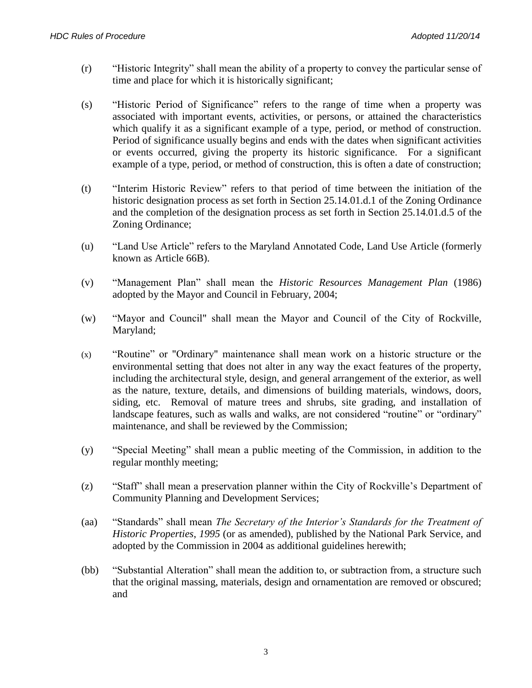- (r) "Historic Integrity" shall mean the ability of a property to convey the particular sense of time and place for which it is historically significant;
- (s) "Historic Period of Significance" refers to the range of time when a property was associated with important events, activities, or persons, or attained the characteristics which qualify it as a significant example of a type, period, or method of construction. Period of significance usually begins and ends with the dates when significant activities or events occurred, giving the property its historic significance. For a significant example of a type, period, or method of construction, this is often a date of construction;
- (t) "Interim Historic Review" refers to that period of time between the initiation of the historic designation process as set forth in Section 25.14.01.d.1 of the Zoning Ordinance and the completion of the designation process as set forth in Section 25.14.01.d.5 of the Zoning Ordinance;
- (u) "Land Use Article" refers to the Maryland Annotated Code, Land Use Article (formerly known as Article 66B).
- (v) "Management Plan" shall mean the *Historic Resources Management Plan* (1986) adopted by the Mayor and Council in February, 2004;
- (w) "Mayor and Council" shall mean the Mayor and Council of the City of Rockville, Maryland;
- (x) "Routine" or "Ordinary" maintenance shall mean work on a historic structure or the environmental setting that does not alter in any way the exact features of the property, including the architectural style, design, and general arrangement of the exterior, as well as the nature, texture, details, and dimensions of building materials, windows, doors, siding, etc. Removal of mature trees and shrubs, site grading, and installation of landscape features, such as walls and walks, are not considered "routine" or "ordinary" maintenance, and shall be reviewed by the Commission;
- (y) "Special Meeting" shall mean a public meeting of the Commission, in addition to the regular monthly meeting;
- (z) "Staff" shall mean a preservation planner within the City of Rockville's Department of Community Planning and Development Services;
- (aa) "Standards" shall mean *The Secretary of the Interior's Standards for the Treatment of Historic Properties*, *1995* (or as amended), published by the National Park Service, and adopted by the Commission in 2004 as additional guidelines herewith;
- (bb) "Substantial Alteration" shall mean the addition to, or subtraction from, a structure such that the original massing, materials, design and ornamentation are removed or obscured; and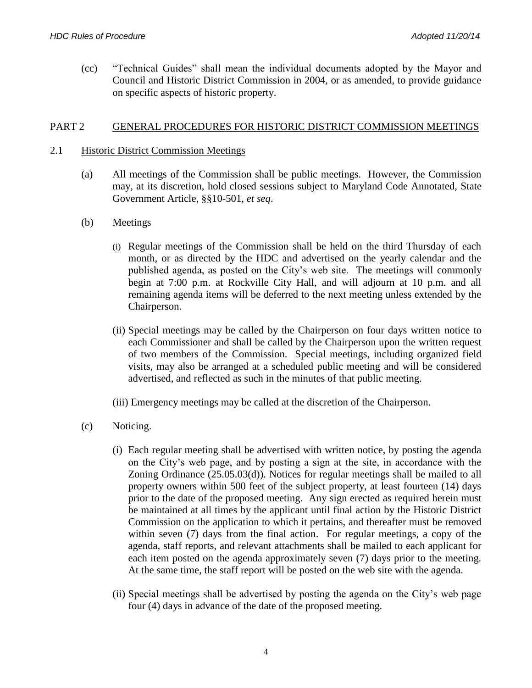(cc) "Technical Guides" shall mean the individual documents adopted by the Mayor and Council and Historic District Commission in 2004, or as amended, to provide guidance on specific aspects of historic property.

#### PART 2 GENERAL PROCEDURES FOR HISTORIC DISTRICT COMMISSION MEETINGS

### 2.1 Historic District Commission Meetings

- (a) All meetings of the Commission shall be public meetings. However, the Commission may, at its discretion, hold closed sessions subject to Maryland Code Annotated, State Government Article, §§10-501, *et seq*.
- (b) Meetings
	- (i) Regular meetings of the Commission shall be held on the third Thursday of each month, or as directed by the HDC and advertised on the yearly calendar and the published agenda, as posted on the City's web site. The meetings will commonly begin at 7:00 p.m. at Rockville City Hall, and will adjourn at 10 p.m. and all remaining agenda items will be deferred to the next meeting unless extended by the Chairperson.
	- (ii) Special meetings may be called by the Chairperson on four days written notice to each Commissioner and shall be called by the Chairperson upon the written request of two members of the Commission. Special meetings, including organized field visits, may also be arranged at a scheduled public meeting and will be considered advertised, and reflected as such in the minutes of that public meeting.
	- (iii) Emergency meetings may be called at the discretion of the Chairperson.
- (c) Noticing.
	- (i) Each regular meeting shall be advertised with written notice, by posting the agenda on the City's web page, and by posting a sign at the site, in accordance with the Zoning Ordinance (25.05.03(d)). Notices for regular meetings shall be mailed to all property owners within 500 feet of the subject property, at least fourteen (14) days prior to the date of the proposed meeting. Any sign erected as required herein must be maintained at all times by the applicant until final action by the Historic District Commission on the application to which it pertains, and thereafter must be removed within seven (7) days from the final action. For regular meetings, a copy of the agenda, staff reports, and relevant attachments shall be mailed to each applicant for each item posted on the agenda approximately seven (7) days prior to the meeting. At the same time, the staff report will be posted on the web site with the agenda.
	- (ii) Special meetings shall be advertised by posting the agenda on the City's web page four (4) days in advance of the date of the proposed meeting.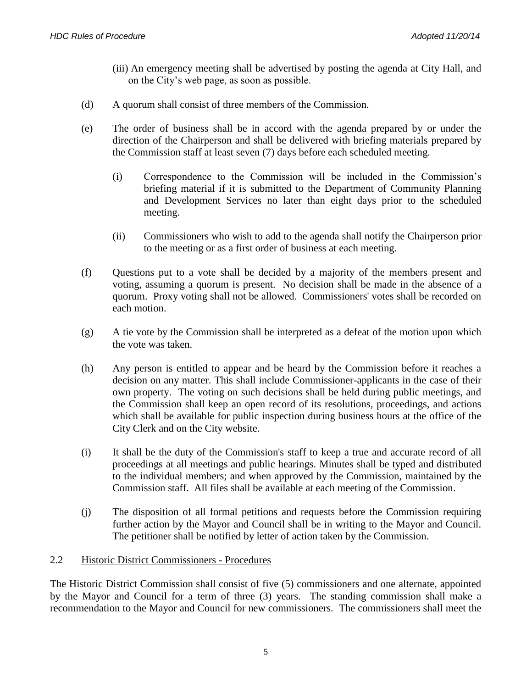- (iii) An emergency meeting shall be advertised by posting the agenda at City Hall, and on the City's web page, as soon as possible.
- (d) A quorum shall consist of three members of the Commission.
- (e) The order of business shall be in accord with the agenda prepared by or under the direction of the Chairperson and shall be delivered with briefing materials prepared by the Commission staff at least seven (7) days before each scheduled meeting.
	- (i) Correspondence to the Commission will be included in the Commission's briefing material if it is submitted to the Department of Community Planning and Development Services no later than eight days prior to the scheduled meeting.
	- (ii) Commissioners who wish to add to the agenda shall notify the Chairperson prior to the meeting or as a first order of business at each meeting.
- (f) Questions put to a vote shall be decided by a majority of the members present and voting, assuming a quorum is present. No decision shall be made in the absence of a quorum. Proxy voting shall not be allowed. Commissioners' votes shall be recorded on each motion.
- (g) A tie vote by the Commission shall be interpreted as a defeat of the motion upon which the vote was taken.
- (h) Any person is entitled to appear and be heard by the Commission before it reaches a decision on any matter. This shall include Commissioner-applicants in the case of their own property. The voting on such decisions shall be held during public meetings, and the Commission shall keep an open record of its resolutions, proceedings, and actions which shall be available for public inspection during business hours at the office of the City Clerk and on the City website.
- (i) It shall be the duty of the Commission's staff to keep a true and accurate record of all proceedings at all meetings and public hearings. Minutes shall be typed and distributed to the individual members; and when approved by the Commission, maintained by the Commission staff. All files shall be available at each meeting of the Commission.
- (j) The disposition of all formal petitions and requests before the Commission requiring further action by the Mayor and Council shall be in writing to the Mayor and Council. The petitioner shall be notified by letter of action taken by the Commission.

### 2.2 Historic District Commissioners - Procedures

The Historic District Commission shall consist of five (5) commissioners and one alternate, appointed by the Mayor and Council for a term of three (3) years. The standing commission shall make a recommendation to the Mayor and Council for new commissioners. The commissioners shall meet the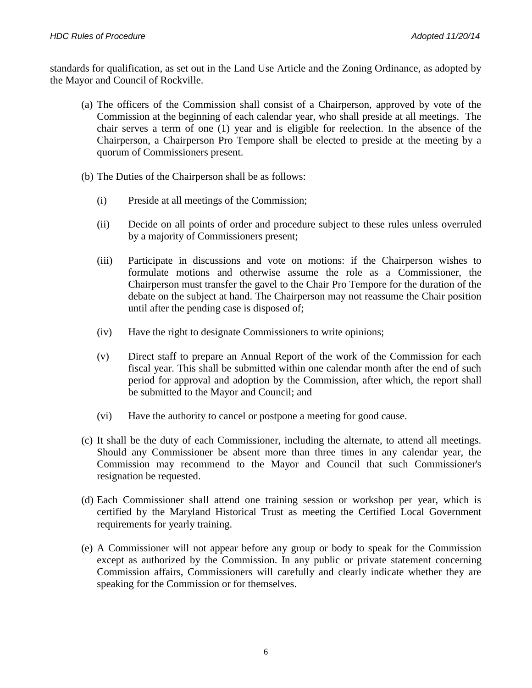standards for qualification, as set out in the Land Use Article and the Zoning Ordinance, as adopted by the Mayor and Council of Rockville.

- (a) The officers of the Commission shall consist of a Chairperson, approved by vote of the Commission at the beginning of each calendar year, who shall preside at all meetings. The chair serves a term of one (1) year and is eligible for reelection. In the absence of the Chairperson, a Chairperson Pro Tempore shall be elected to preside at the meeting by a quorum of Commissioners present.
- (b) The Duties of the Chairperson shall be as follows:
	- (i) Preside at all meetings of the Commission;
	- (ii) Decide on all points of order and procedure subject to these rules unless overruled by a majority of Commissioners present;
	- (iii) Participate in discussions and vote on motions: if the Chairperson wishes to formulate motions and otherwise assume the role as a Commissioner, the Chairperson must transfer the gavel to the Chair Pro Tempore for the duration of the debate on the subject at hand. The Chairperson may not reassume the Chair position until after the pending case is disposed of;
	- (iv) Have the right to designate Commissioners to write opinions;
	- (v) Direct staff to prepare an Annual Report of the work of the Commission for each fiscal year. This shall be submitted within one calendar month after the end of such period for approval and adoption by the Commission, after which, the report shall be submitted to the Mayor and Council; and
	- (vi) Have the authority to cancel or postpone a meeting for good cause.
- (c) It shall be the duty of each Commissioner, including the alternate, to attend all meetings. Should any Commissioner be absent more than three times in any calendar year, the Commission may recommend to the Mayor and Council that such Commissioner's resignation be requested.
- (d) Each Commissioner shall attend one training session or workshop per year, which is certified by the Maryland Historical Trust as meeting the Certified Local Government requirements for yearly training.
- (e) A Commissioner will not appear before any group or body to speak for the Commission except as authorized by the Commission. In any public or private statement concerning Commission affairs, Commissioners will carefully and clearly indicate whether they are speaking for the Commission or for themselves.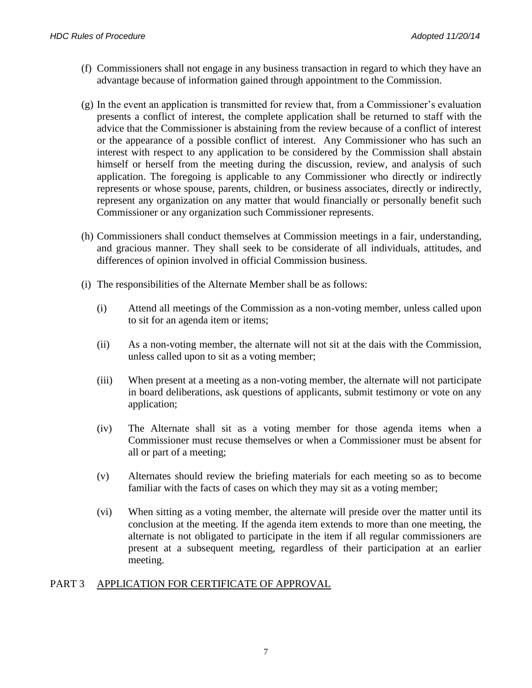- (f) Commissioners shall not engage in any business transaction in regard to which they have an advantage because of information gained through appointment to the Commission.
- (g) In the event an application is transmitted for review that, from a Commissioner's evaluation presents a conflict of interest, the complete application shall be returned to staff with the advice that the Commissioner is abstaining from the review because of a conflict of interest or the appearance of a possible conflict of interest. Any Commissioner who has such an interest with respect to any application to be considered by the Commission shall abstain himself or herself from the meeting during the discussion, review, and analysis of such application. The foregoing is applicable to any Commissioner who directly or indirectly represents or whose spouse, parents, children, or business associates, directly or indirectly, represent any organization on any matter that would financially or personally benefit such Commissioner or any organization such Commissioner represents.
- (h) Commissioners shall conduct themselves at Commission meetings in a fair, understanding, and gracious manner. They shall seek to be considerate of all individuals, attitudes, and differences of opinion involved in official Commission business.
- (i) The responsibilities of the Alternate Member shall be as follows:
	- (i) Attend all meetings of the Commission as a non-voting member, unless called upon to sit for an agenda item or items;
	- (ii) As a non-voting member, the alternate will not sit at the dais with the Commission, unless called upon to sit as a voting member;
	- (iii) When present at a meeting as a non-voting member, the alternate will not participate in board deliberations, ask questions of applicants, submit testimony or vote on any application;
	- (iv) The Alternate shall sit as a voting member for those agenda items when a Commissioner must recuse themselves or when a Commissioner must be absent for all or part of a meeting;
	- (v) Alternates should review the briefing materials for each meeting so as to become familiar with the facts of cases on which they may sit as a voting member;
	- (vi) When sitting as a voting member, the alternate will preside over the matter until its conclusion at the meeting. If the agenda item extends to more than one meeting, the alternate is not obligated to participate in the item if all regular commissioners are present at a subsequent meeting, regardless of their participation at an earlier meeting.

### PART 3 APPLICATION FOR CERTIFICATE OF APPROVAL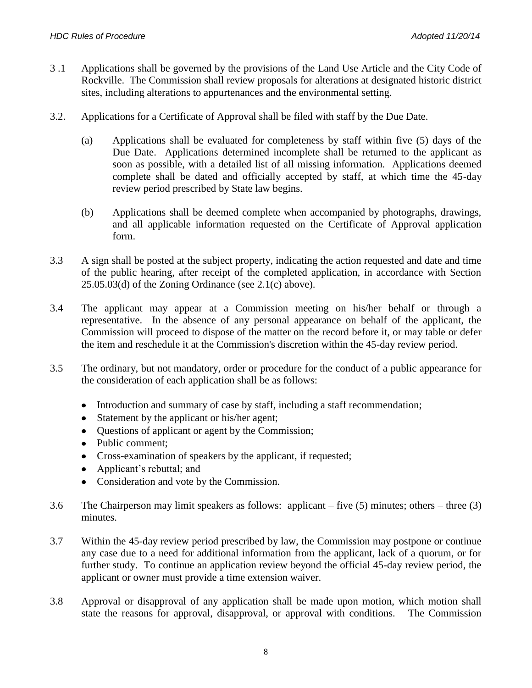- 3 .1 Applications shall be governed by the provisions of the Land Use Article and the City Code of Rockville. The Commission shall review proposals for alterations at designated historic district sites, including alterations to appurtenances and the environmental setting.
- 3.2. Applications for a Certificate of Approval shall be filed with staff by the Due Date.
	- (a) Applications shall be evaluated for completeness by staff within five (5) days of the Due Date. Applications determined incomplete shall be returned to the applicant as soon as possible, with a detailed list of all missing information. Applications deemed complete shall be dated and officially accepted by staff, at which time the 45-day review period prescribed by State law begins.
	- (b) Applications shall be deemed complete when accompanied by photographs, drawings, and all applicable information requested on the Certificate of Approval application form.
- 3.3 A sign shall be posted at the subject property, indicating the action requested and date and time of the public hearing, after receipt of the completed application, in accordance with Section  $25.05.03$ (d) of the Zoning Ordinance (see  $2.1(c)$  above).
- 3.4 The applicant may appear at a Commission meeting on his/her behalf or through a representative. In the absence of any personal appearance on behalf of the applicant, the Commission will proceed to dispose of the matter on the record before it, or may table or defer the item and reschedule it at the Commission's discretion within the 45-day review period.
- 3.5 The ordinary, but not mandatory, order or procedure for the conduct of a public appearance for the consideration of each application shall be as follows:
	- Introduction and summary of case by staff, including a staff recommendation;  $\bullet$
	- Statement by the applicant or his/her agent;  $\bullet$
	- Questions of applicant or agent by the Commission;
	- Public comment;
	- Cross-examination of speakers by the applicant, if requested;  $\bullet$
	- Applicant's rebuttal; and  $\bullet$
	- Consideration and vote by the Commission.  $\bullet$
- 3.6 The Chairperson may limit speakers as follows: applicant five (5) minutes; others three (3) minutes.
- 3.7 Within the 45-day review period prescribed by law, the Commission may postpone or continue any case due to a need for additional information from the applicant, lack of a quorum, or for further study. To continue an application review beyond the official 45-day review period, the applicant or owner must provide a time extension waiver.
- 3.8 Approval or disapproval of any application shall be made upon motion, which motion shall state the reasons for approval, disapproval, or approval with conditions. The Commission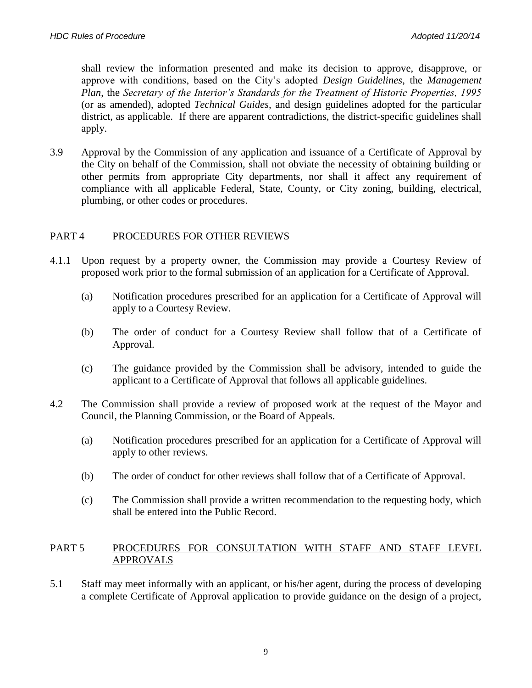shall review the information presented and make its decision to approve, disapprove, or approve with conditions, based on the City's adopted *Design Guidelines*, the *Management Plan*, the *Secretary of the Interior's Standards for the Treatment of Historic Properties, 1995* (or as amended), adopted *Technical Guides*, and design guidelines adopted for the particular district, as applicable. If there are apparent contradictions, the district-specific guidelines shall apply.

3.9 Approval by the Commission of any application and issuance of a Certificate of Approval by the City on behalf of the Commission, shall not obviate the necessity of obtaining building or other permits from appropriate City departments, nor shall it affect any requirement of compliance with all applicable Federal, State, County, or City zoning, building, electrical, plumbing, or other codes or procedures.

## PART 4 PROCEDURES FOR OTHER REVIEWS

- 4.1.1 Upon request by a property owner, the Commission may provide a Courtesy Review of proposed work prior to the formal submission of an application for a Certificate of Approval.
	- (a) Notification procedures prescribed for an application for a Certificate of Approval will apply to a Courtesy Review.
	- (b) The order of conduct for a Courtesy Review shall follow that of a Certificate of Approval.
	- (c) The guidance provided by the Commission shall be advisory, intended to guide the applicant to a Certificate of Approval that follows all applicable guidelines.
- 4.2 The Commission shall provide a review of proposed work at the request of the Mayor and Council, the Planning Commission, or the Board of Appeals.
	- (a) Notification procedures prescribed for an application for a Certificate of Approval will apply to other reviews.
	- (b) The order of conduct for other reviews shall follow that of a Certificate of Approval.
	- (c) The Commission shall provide a written recommendation to the requesting body, which shall be entered into the Public Record.

#### PART 5 PROCEDURES FOR CONSULTATION WITH STAFF AND STAFF LEVEL APPROVALS

5.1 Staff may meet informally with an applicant, or his/her agent, during the process of developing a complete Certificate of Approval application to provide guidance on the design of a project,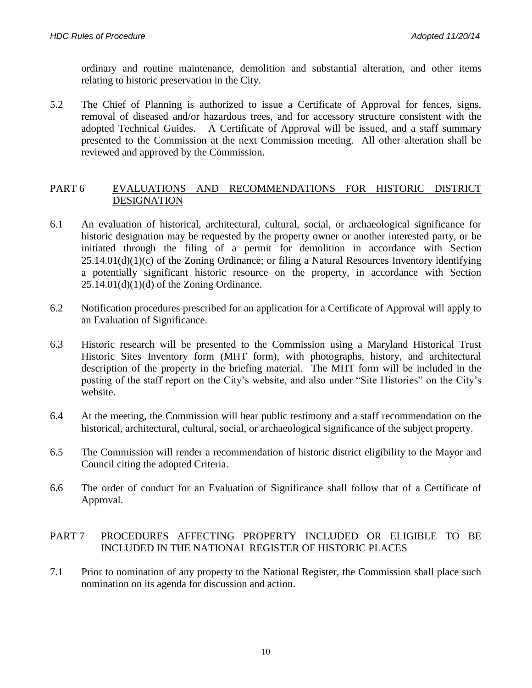ordinary and routine maintenance, demolition and substantial alteration, and other items relating to historic preservation in the City.

5.2 The Chief of Planning is authorized to issue a Certificate of Approval for fences, signs, removal of diseased and/or hazardous trees, and for accessory structure consistent with the adopted Technical Guides. A Certificate of Approval will be issued, and a staff summary presented to the Commission at the next Commission meeting. All other alteration shall be reviewed and approved by the Commission.

#### PART 6 EVALUATIONS AND RECOMMENDATIONS FOR HISTORIC DISTRICT **DESIGNATION**

- 6.1 An evaluation of historical, architectural, cultural, social, or archaeological significance for historic designation may be requested by the property owner or another interested party, or be initiated through the filing of a permit for demolition in accordance with Section  $25.14.01(d)(1)(c)$  of the Zoning Ordinance; or filing a Natural Resources Inventory identifying a potentially significant historic resource on the property, in accordance with Section  $25.14.01(d)(1)(d)$  of the Zoning Ordinance.
- 6.2 Notification procedures prescribed for an application for a Certificate of Approval will apply to an Evaluation of Significance.
- 6.3 Historic research will be presented to the Commission using a Maryland Historical Trust Historic Sites Inventory form (MHT form), with photographs, history, and architectural description of the property in the briefing material. The MHT form will be included in the posting of the staff report on the City's website, and also under "Site Histories" on the City's website.
- 6.4 At the meeting, the Commission will hear public testimony and a staff recommendation on the historical, architectural, cultural, social, or archaeological significance of the subject property.
- 6.5 The Commission will render a recommendation of historic district eligibility to the Mayor and Council citing the adopted Criteria.
- 6.6 The order of conduct for an Evaluation of Significance shall follow that of a Certificate of Approval.

### PART 7 PROCEDURES AFFECTING PROPERTY INCLUDED OR ELIGIBLE TO BE INCLUDED IN THE NATIONAL REGISTER OF HISTORIC PLACES

7.1 Prior to nomination of any property to the National Register, the Commission shall place such nomination on its agenda for discussion and action.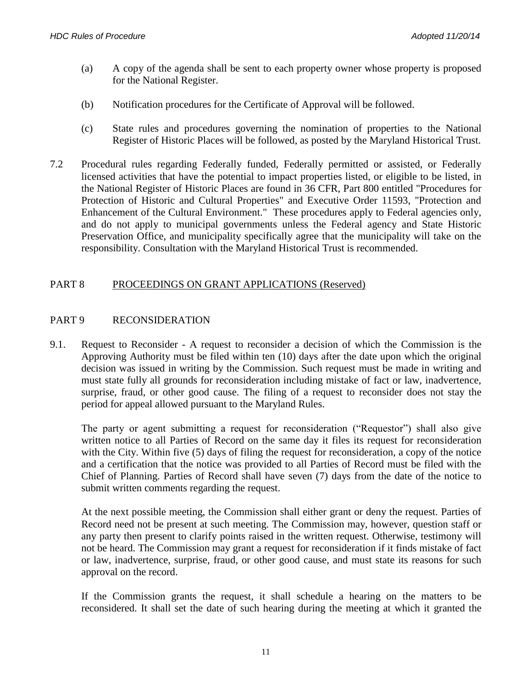- (a) A copy of the agenda shall be sent to each property owner whose property is proposed for the National Register.
- (b) Notification procedures for the Certificate of Approval will be followed.
- (c) State rules and procedures governing the nomination of properties to the National Register of Historic Places will be followed, as posted by the Maryland Historical Trust.
- 7.2 Procedural rules regarding Federally funded, Federally permitted or assisted, or Federally licensed activities that have the potential to impact properties listed, or eligible to be listed, in the National Register of Historic Places are found in 36 CFR, Part 800 entitled "Procedures for Protection of Historic and Cultural Properties" and Executive Order 11593, "Protection and Enhancement of the Cultural Environment." These procedures apply to Federal agencies only, and do not apply to municipal governments unless the Federal agency and State Historic Preservation Office, and municipality specifically agree that the municipality will take on the responsibility. Consultation with the Maryland Historical Trust is recommended.

### PART 8 PROCEEDINGS ON GRANT APPLICATIONS (Reserved)

#### PART 9 RECONSIDERATION

9.1. Request to Reconsider - A request to reconsider a decision of which the Commission is the Approving Authority must be filed within ten (10) days after the date upon which the original decision was issued in writing by the Commission. Such request must be made in writing and must state fully all grounds for reconsideration including mistake of fact or law, inadvertence, surprise, fraud, or other good cause. The filing of a request to reconsider does not stay the period for appeal allowed pursuant to the Maryland Rules.

The party or agent submitting a request for reconsideration ("Requestor") shall also give written notice to all Parties of Record on the same day it files its request for reconsideration with the City. Within five (5) days of filing the request for reconsideration, a copy of the notice and a certification that the notice was provided to all Parties of Record must be filed with the Chief of Planning. Parties of Record shall have seven (7) days from the date of the notice to submit written comments regarding the request.

At the next possible meeting, the Commission shall either grant or deny the request. Parties of Record need not be present at such meeting. The Commission may, however, question staff or any party then present to clarify points raised in the written request. Otherwise, testimony will not be heard. The Commission may grant a request for reconsideration if it finds mistake of fact or law, inadvertence, surprise, fraud, or other good cause, and must state its reasons for such approval on the record.

If the Commission grants the request, it shall schedule a hearing on the matters to be reconsidered. It shall set the date of such hearing during the meeting at which it granted the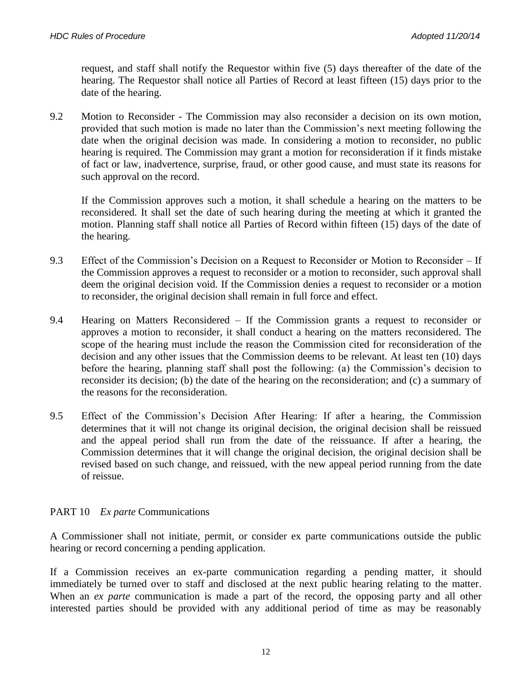request, and staff shall notify the Requestor within five (5) days thereafter of the date of the hearing. The Requestor shall notice all Parties of Record at least fifteen (15) days prior to the date of the hearing.

9.2 Motion to Reconsider - The Commission may also reconsider a decision on its own motion, provided that such motion is made no later than the Commission's next meeting following the date when the original decision was made. In considering a motion to reconsider, no public hearing is required. The Commission may grant a motion for reconsideration if it finds mistake of fact or law, inadvertence, surprise, fraud, or other good cause, and must state its reasons for such approval on the record.

If the Commission approves such a motion, it shall schedule a hearing on the matters to be reconsidered. It shall set the date of such hearing during the meeting at which it granted the motion. Planning staff shall notice all Parties of Record within fifteen (15) days of the date of the hearing.

- 9.3 Effect of the Commission's Decision on a Request to Reconsider or Motion to Reconsider If the Commission approves a request to reconsider or a motion to reconsider, such approval shall deem the original decision void. If the Commission denies a request to reconsider or a motion to reconsider, the original decision shall remain in full force and effect.
- 9.4 Hearing on Matters Reconsidered If the Commission grants a request to reconsider or approves a motion to reconsider, it shall conduct a hearing on the matters reconsidered. The scope of the hearing must include the reason the Commission cited for reconsideration of the decision and any other issues that the Commission deems to be relevant. At least ten (10) days before the hearing, planning staff shall post the following: (a) the Commission's decision to reconsider its decision; (b) the date of the hearing on the reconsideration; and (c) a summary of the reasons for the reconsideration.
- 9.5 Effect of the Commission's Decision After Hearing: If after a hearing, the Commission determines that it will not change its original decision, the original decision shall be reissued and the appeal period shall run from the date of the reissuance. If after a hearing, the Commission determines that it will change the original decision, the original decision shall be revised based on such change, and reissued, with the new appeal period running from the date of reissue.

## PART 10 *Ex parte* Communications

A Commissioner shall not initiate, permit, or consider ex parte communications outside the public hearing or record concerning a pending application.

If a Commission receives an ex-parte communication regarding a pending matter, it should immediately be turned over to staff and disclosed at the next public hearing relating to the matter. When an *ex parte* communication is made a part of the record, the opposing party and all other interested parties should be provided with any additional period of time as may be reasonably